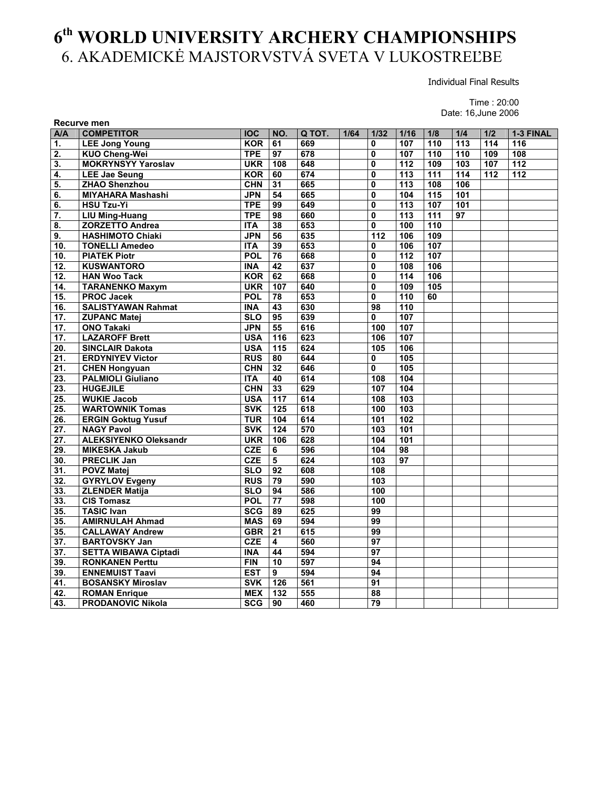Individual Final Results

| Recurve men       |                              |            |                         |        |      |                         |                  |     |     |     |                  |
|-------------------|------------------------------|------------|-------------------------|--------|------|-------------------------|------------------|-----|-----|-----|------------------|
| A/A               | <b>COMPETITOR</b>            | <b>IOC</b> | NO.                     | Q TOT. | 1/64 | 1/32                    | 1/16             | 1/8 | 1/4 | 1/2 | 1-3 FINAL        |
| 1.                | <b>LEE Jong Young</b>        | <b>KOR</b> | 61                      | 669    |      | 0                       | 107              | 110 | 113 | 114 | 116              |
| $\overline{2}$ .  | <b>KUO Cheng-Wei</b>         | <b>TPE</b> | 97                      | 678    |      | 0                       | 107              | 110 | 110 | 109 | 108              |
| 3.                | <b>MOKRYNSYY Yaroslav</b>    | <b>UKR</b> | 108                     | 648    |      | 0                       | 112              | 109 | 103 | 107 | $\overline{112}$ |
| 4.                | <b>LEE Jae Seung</b>         | <b>KOR</b> | 60                      | 674    |      | 0                       | 113              | 111 | 114 | 112 | 112              |
| 5.                | <b>ZHAO Shenzhou</b>         | <b>CHN</b> | 31                      | 665    |      | $\mathbf 0$             | 113              | 108 | 106 |     |                  |
| $\overline{6}$ .  | <b>MIYAHARA Mashashi</b>     | <b>JPN</b> | 54                      | 665    |      | $\mathbf{0}$            | 104              | 115 | 101 |     |                  |
| $\overline{6}$ .  | <b>HSU Tzu-Yi</b>            | <b>TPE</b> | 99                      | 649    |      | $\mathbf 0$             | 113              | 107 | 101 |     |                  |
| 7.                | <b>LIU Ming-Huang</b>        | <b>TPE</b> | 98                      | 660    |      | $\mathbf{0}$            | 113              | 111 | 97  |     |                  |
| 8.                | <b>ZORZETTO Andrea</b>       | <b>ITA</b> | 38                      | 653    |      | 0                       | 100              | 110 |     |     |                  |
| 9.                | <b>HASHIMOTO Chiaki</b>      | <b>JPN</b> | 56                      | 635    |      | 112                     | 106              | 109 |     |     |                  |
| 10.               | <b>TONELLI Amedeo</b>        | <b>ITA</b> | 39                      | 653    |      | 0                       | 106              | 107 |     |     |                  |
| 10.               | <b>PIATEK Piotr</b>          | <b>POL</b> | 76                      | 668    |      | 0                       | $\overline{112}$ | 107 |     |     |                  |
| 12.               | <b>KUSWANTORO</b>            | <b>INA</b> | 42                      | 637    |      | $\mathbf{0}$            | 108              | 106 |     |     |                  |
| 12.               | <b>HAN Woo Tack</b>          | <b>KOR</b> | 62                      | 668    |      | $\mathbf{0}$            | 114              | 106 |     |     |                  |
| 14.               | <b>TARANENKO Maxym</b>       | <b>UKR</b> | 107                     | 640    |      | $\mathbf{0}$            | 109              | 105 |     |     |                  |
| 15.               | <b>PROC Jacek</b>            | <b>POL</b> | $\overline{78}$         | 653    |      | $\mathbf{0}$            | 110              | 60  |     |     |                  |
| 16.               | <b>SALISTYAWAN Rahmat</b>    | <b>INA</b> | 43                      | 630    |      | 98                      | 110              |     |     |     |                  |
| 17.               | <b>ZUPANC Matej</b>          | <b>SLO</b> | 95                      | 639    |      | 0                       | 107              |     |     |     |                  |
| 17.               | <b>ONO Takaki</b>            | <b>JPN</b> | 55                      | 616    |      | 100                     | 107              |     |     |     |                  |
| 17.               | <b>LAZAROFF Brett</b>        | <b>USA</b> | 116                     | 623    |      | 106                     | 107              |     |     |     |                  |
| 20.               | <b>SINCLAIR Dakota</b>       | <b>USA</b> | 115                     | 624    |      | 105                     | 106              |     |     |     |                  |
| 21.               | <b>ERDYNIYEV Victor</b>      | <b>RUS</b> | 80                      | 644    |      | 0                       | 105              |     |     |     |                  |
| 21.               | <b>CHEN Hongyuan</b>         | <b>CHN</b> | 32                      | 646    |      | $\overline{\mathbf{0}}$ | 105              |     |     |     |                  |
| 23.               | <b>PALMIOLI Giuliano</b>     | <b>ITA</b> | 40                      | 614    |      | 108                     | 104              |     |     |     |                  |
| 23.               | <b>HUGEJILE</b>              | <b>CHN</b> | 33                      | 629    |      | 107                     | 104              |     |     |     |                  |
| 25.               | <b>WUKIE Jacob</b>           | <b>USA</b> | 117                     | 614    |      | 108                     | 103              |     |     |     |                  |
| 25.               | <b>WARTOWNIK Tomas</b>       | <b>SVK</b> | 125                     | 618    |      | 100                     | 103              |     |     |     |                  |
| 26.               | <b>ERGIN Goktug Yusuf</b>    | <b>TUR</b> | 104                     | 614    |      | 101                     | 102              |     |     |     |                  |
| $\overline{27}$ . | <b>NAGY Pavol</b>            | <b>SVK</b> | 124                     | 570    |      | 103                     | 101              |     |     |     |                  |
| $\overline{27}$ . | <b>ALEKSIYENKO Oleksandr</b> | <b>UKR</b> | 106                     | 628    |      | 104                     | 101              |     |     |     |                  |
| 29.               | <b>MIKESKA Jakub</b>         | <b>CZE</b> | 6                       | 596    |      | 104                     | 98               |     |     |     |                  |
| 30.               | <b>PRECLIK Jan</b>           | <b>CZE</b> | 5                       | 624    |      | 103                     | $\overline{97}$  |     |     |     |                  |
| $\overline{31}$ . | <b>POVZ Matej</b>            | <b>SLO</b> | 92                      | 608    |      | 108                     |                  |     |     |     |                  |
| 32.               | <b>GYRYLOV Evgeny</b>        | <b>RUS</b> | 79                      | 590    |      | 103                     |                  |     |     |     |                  |
| 33.               | <b>ZLENDER Matija</b>        | <b>SLO</b> | 94                      | 586    |      | 100                     |                  |     |     |     |                  |
| 33.               | <b>CIS Tomasz</b>            | <b>POL</b> | 77                      | 598    |      | 100                     |                  |     |     |     |                  |
| 35.               | <b>TASIC Ivan</b>            | SCG        | 89                      | 625    |      | 99                      |                  |     |     |     |                  |
| 35.               | <b>AMIRNULAH Ahmad</b>       | <b>MAS</b> | 69                      | 594    |      | 99                      |                  |     |     |     |                  |
| 35.               | <b>CALLAWAY Andrew</b>       | <b>GBR</b> | $\overline{21}$         | 615    |      | 99                      |                  |     |     |     |                  |
| $\overline{37}$ . | <b>BARTOVSKY Jan</b>         | <b>CZE</b> | $\overline{\mathbf{4}}$ | 560    |      | 97                      |                  |     |     |     |                  |
| $\overline{37}$ . | <b>SETTA WIBAWA Ciptadi</b>  | <b>INA</b> | 44                      | 594    |      | 97                      |                  |     |     |     |                  |
| 39.               | <b>RONKANEN Perttu</b>       | <b>FIN</b> | 10                      | 597    |      | 94                      |                  |     |     |     |                  |
| 39.               | <b>ENNEMUIST Taavi</b>       | <b>EST</b> | 9                       | 594    |      | 94                      |                  |     |     |     |                  |
| 41.               | <b>BOSANSKY Miroslav</b>     | <b>SVK</b> | 126                     | 561    |      | $\overline{91}$         |                  |     |     |     |                  |
| 42.               | <b>ROMAN Enrique</b>         | <b>MEX</b> | 132                     | 555    |      | $\overline{88}$         |                  |     |     |     |                  |
| 43.               | <b>PRODANOVIC Nikola</b>     | <b>SCG</b> | 90                      | 460    |      | $\overline{79}$         |                  |     |     |     |                  |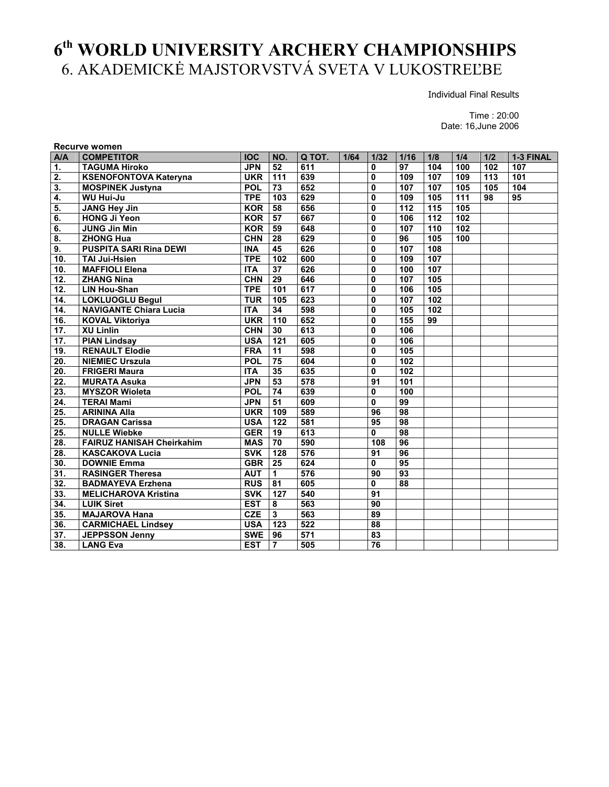Individual Final Results

| Recurve women             |                                  |            |                  |        |      |                 |                  |     |                  |                  |                 |
|---------------------------|----------------------------------|------------|------------------|--------|------|-----------------|------------------|-----|------------------|------------------|-----------------|
| A/A                       | <b>COMPETITOR</b>                | <b>IOC</b> | NO.              | Q TOT. | 1/64 | 1/32            | $1/16$           | 1/8 | 1/4              | 1/2              | 1-3 FINAL       |
| 1.                        | <b>TAGUMA Hiroko</b>             | <b>JPN</b> | 52               | 611    |      | $\mathbf 0$     | 97               | 104 | 100              | 102              | 107             |
| 2.                        | <b>KSENOFONTOVA Kateryna</b>     | <b>UKR</b> | $\overline{111}$ | 639    |      | $\mathbf{0}$    | 109              | 107 | 109              | $\overline{113}$ | 101             |
| 3.                        | <b>MOSPINEK Justyna</b>          | <b>POL</b> | 73               | 652    |      | $\bf{0}$        | 107              | 107 | 105              | 105              | 104             |
| 4.                        | <b>WU Hui-Ju</b>                 | <b>TPE</b> | 103              | 629    |      | $\mathbf 0$     | 109              | 105 | $\overline{111}$ | $\overline{98}$  | $\overline{95}$ |
| 5.                        | <b>JANG Hey Jin</b>              | <b>KOR</b> | 58               | 656    |      | $\mathbf 0$     | $\overline{112}$ | 115 | 105              |                  |                 |
| 6.                        | <b>HONG Ji Yeon</b>              | <b>KOR</b> | 57               | 667    |      | $\mathbf 0$     | 106              | 112 | 102              |                  |                 |
| 6.                        | <b>JUNG Jin Min</b>              | <b>KOR</b> | 59               | 648    |      | $\mathbf 0$     | 107              | 110 | 102              |                  |                 |
| $\overline{\mathbf{8}}$ . | <b>ZHONG Hua</b>                 | <b>CHN</b> | 28               | 629    |      | $\mathbf 0$     | 96               | 105 | 100              |                  |                 |
| $\overline{9}$ .          | <b>PUSPITA SARI Rina DEWI</b>    | <b>INA</b> | $\overline{45}$  | 626    |      | $\mathbf 0$     | 107              | 108 |                  |                  |                 |
| 10.                       | <b>TAI Jui-Hsien</b>             | <b>TPE</b> | 102              | 600    |      | $\mathbf 0$     | 109              | 107 |                  |                  |                 |
| 10.                       | <b>MAFFIOLI Elena</b>            | <b>ITA</b> | 37               | 626    |      | $\mathbf 0$     | 100              | 107 |                  |                  |                 |
| $\overline{12}$ .         | <b>ZHANG Nina</b>                | <b>CHN</b> | 29               | 646    |      | 0               | 107              | 105 |                  |                  |                 |
| 12.                       | <b>LIN Hou-Shan</b>              | <b>TPE</b> | 101              | 617    |      | $\mathbf 0$     | 106              | 105 |                  |                  |                 |
| 14.                       | <b>LOKLUOGLU Begul</b>           | <b>TUR</b> | 105              | 623    |      | $\mathbf 0$     | 107              | 102 |                  |                  |                 |
| $\overline{14}$ .         | <b>NAVIGANTE Chiara Lucia</b>    | <b>ITA</b> | 34               | 598    |      | $\mathbf 0$     | 105              | 102 |                  |                  |                 |
| 16.                       | <b>KOVAL Viktoriya</b>           | <b>UKR</b> | 110              | 652    |      | $\mathbf 0$     | 155              | 99  |                  |                  |                 |
| 17.                       | <b>XU Linlin</b>                 | <b>CHN</b> | 30               | 613    |      | $\mathbf 0$     | 106              |     |                  |                  |                 |
| 17.                       | <b>PIAN Lindsay</b>              | <b>USA</b> | 121              | 605    |      | $\mathbf{0}$    | 106              |     |                  |                  |                 |
| 19.                       | <b>RENAULT Elodie</b>            | <b>FRA</b> | 11               | 598    |      | $\mathbf 0$     | 105              |     |                  |                  |                 |
| 20.                       | <b>NIEMIEC Urszula</b>           | POL        | 75               | 604    |      | $\mathbf{0}$    | 102              |     |                  |                  |                 |
| 20.                       | <b>FRIGERI Maura</b>             | <b>ITA</b> | 35               | 635    |      | 0               | 102              |     |                  |                  |                 |
| 22.                       | <b>MURATA Asuka</b>              | <b>JPN</b> | 53               | 578    |      | 91              | 101              |     |                  |                  |                 |
| 23.                       | <b>MYSZOR Wioleta</b>            | POL        | 74               | 639    |      | $\mathbf{0}$    | 100              |     |                  |                  |                 |
| 24.                       | <b>TERAI Mami</b>                | <b>JPN</b> | 51               | 609    |      | 0               | 99               |     |                  |                  |                 |
| 25.                       | <b>ARININA Alla</b>              | <b>UKR</b> | 109              | 589    |      | 96              | $\overline{98}$  |     |                  |                  |                 |
| 25.                       | <b>DRAGAN Carissa</b>            | <b>USA</b> | 122              | 581    |      | 95              | 98               |     |                  |                  |                 |
| 25.                       | <b>NULLE</b> Wiebke              | <b>GER</b> | 19               | 613    |      | $\mathbf{0}$    | 98               |     |                  |                  |                 |
| 28.                       | <b>FAIRUZ HANISAH Cheirkahim</b> | <b>MAS</b> | 70               | 590    |      | 108             | 96               |     |                  |                  |                 |
| $\overline{28}$ .         | <b>KASCAKOVA Lucia</b>           | <b>SVK</b> | 128              | 576    |      | 91              | $\overline{96}$  |     |                  |                  |                 |
| 30.                       | <b>DOWNIE Emma</b>               | <b>GBR</b> | $\overline{25}$  | 624    |      | $\mathbf{0}$    | 95               |     |                  |                  |                 |
| 31.                       | <b>RASINGER Theresa</b>          | <b>AUT</b> | $\mathbf{1}$     | 576    |      | 90              | 93               |     |                  |                  |                 |
| 32.                       | <b>BADMAYEVA Erzhena</b>         | RUS        | 81               | 605    |      | $\mathbf{0}$    | 88               |     |                  |                  |                 |
| 33.                       | <b>MELICHAROVA Kristina</b>      | <b>SVK</b> | 127              | 540    |      | 91              |                  |     |                  |                  |                 |
| 34.                       | <b>LUIK Siret</b>                | <b>EST</b> | 8                | 563    |      | $\overline{90}$ |                  |     |                  |                  |                 |
| 35.                       | <b>MAJAROVA Hana</b>             | <b>CZE</b> | 3                | 563    |      | 89              |                  |     |                  |                  |                 |
| 36.                       | <b>CARMICHAEL Lindsey</b>        | <b>USA</b> | 123              | 522    |      | 88              |                  |     |                  |                  |                 |
| 37.                       | <b>JEPPSSON Jenny</b>            | <b>SWE</b> | 96               | 571    |      | 83              |                  |     |                  |                  |                 |
| 38.                       | <b>LANG Eva</b>                  | <b>EST</b> | $\overline{7}$   | 505    |      | 76              |                  |     |                  |                  |                 |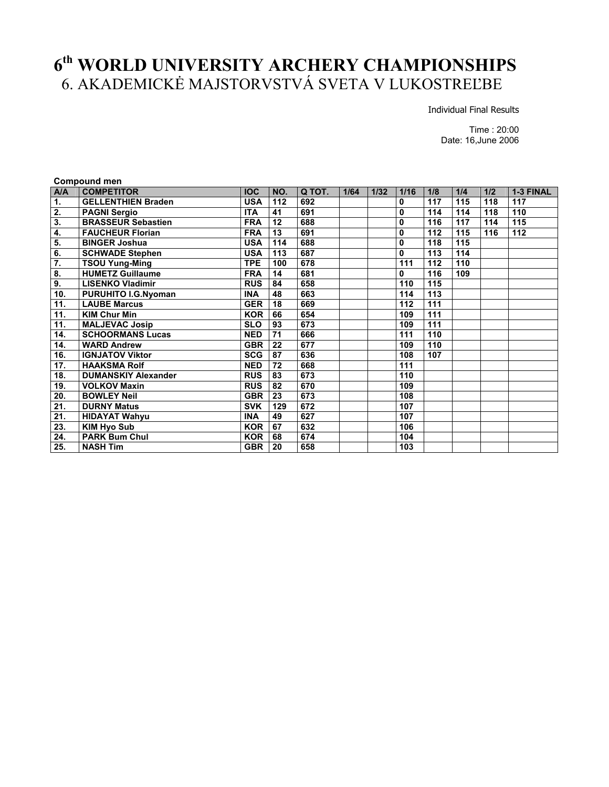Individual Final Results

| <b>Compound men</b>       |                            |            |     |        |      |      |      |     |     |     |           |
|---------------------------|----------------------------|------------|-----|--------|------|------|------|-----|-----|-----|-----------|
| A/A                       | <b>COMPETITOR</b>          | <b>IOC</b> | NO. | Q TOT. | 1/64 | 1/32 | 1/16 | 1/8 | 1/4 | 1/2 | 1-3 FINAL |
| 1.                        | <b>GELLENTHIEN Braden</b>  | <b>USA</b> | 112 | 692    |      |      | 0    | 117 | 115 | 118 | 117       |
| 2.                        | <b>PAGNI Sergio</b>        | <b>ITA</b> | 41  | 691    |      |      | 0    | 114 | 114 | 118 | 110       |
| $\overline{3}$ .          | <b>BRASSEUR Sebastien</b>  | <b>FRA</b> | 12  | 688    |      |      | 0    | 116 | 117 | 114 | 115       |
| 4.                        | <b>FAUCHEUR Florian</b>    | <b>FRA</b> | 13  | 691    |      |      | 0    | 112 | 115 | 116 | 112       |
| 5.                        | <b>BINGER Joshua</b>       | <b>USA</b> | 114 | 688    |      |      | 0    | 118 | 115 |     |           |
| 6.                        | <b>SCHWADE Stephen</b>     | <b>USA</b> | 113 | 687    |      |      | 0    | 113 | 114 |     |           |
| 7.                        | <b>TSOU Yung-Ming</b>      | <b>TPE</b> | 100 | 678    |      |      | 111  | 112 | 110 |     |           |
| $\overline{\mathbf{8}}$ . | <b>HUMETZ Guillaume</b>    | <b>FRA</b> | 14  | 681    |      |      | 0    | 116 | 109 |     |           |
| 9.                        | <b>LISENKO Vladimir</b>    | <b>RUS</b> | 84  | 658    |      |      | 110  | 115 |     |     |           |
| 10.                       | <b>PURUHITO I.G.Nyoman</b> | <b>INA</b> | 48  | 663    |      |      | 114  | 113 |     |     |           |
| 11.                       | <b>LAUBE Marcus</b>        | <b>GER</b> | 18  | 669    |      |      | 112  | 111 |     |     |           |
| 11.                       | <b>KIM Chur Min</b>        | <b>KOR</b> | 66  | 654    |      |      | 109  | 111 |     |     |           |
| 11.                       | <b>MALJEVAC Josip</b>      | <b>SLO</b> | 93  | 673    |      |      | 109  | 111 |     |     |           |
| 14.                       | <b>SCHOORMANS Lucas</b>    | <b>NED</b> | 71  | 666    |      |      | 111  | 110 |     |     |           |
| 14.                       | <b>WARD Andrew</b>         | <b>GBR</b> | 22  | 677    |      |      | 109  | 110 |     |     |           |
| 16.                       | <b>IGNJATOV Viktor</b>     | <b>SCG</b> | 87  | 636    |      |      | 108  | 107 |     |     |           |
| 17.                       | <b>HAAKSMA Rolf</b>        | <b>NED</b> | 72  | 668    |      |      | 111  |     |     |     |           |
| 18.                       | <b>DUMANSKIY Alexander</b> | <b>RUS</b> | 83  | 673    |      |      | 110  |     |     |     |           |
| 19.                       | <b>VOLKOV Maxin</b>        | <b>RUS</b> | 82  | 670    |      |      | 109  |     |     |     |           |
| 20.                       | <b>BOWLEY Neil</b>         | <b>GBR</b> | 23  | 673    |      |      | 108  |     |     |     |           |
| $\overline{21}$ .         | <b>DURNY Matus</b>         | <b>SVK</b> | 129 | 672    |      |      | 107  |     |     |     |           |
| 21.                       | <b>HIDAYAT Wahyu</b>       | <b>INA</b> | 49  | 627    |      |      | 107  |     |     |     |           |
| 23.                       | <b>KIM Hyo Sub</b>         | <b>KOR</b> | 67  | 632    |      |      | 106  |     |     |     |           |
| 24.                       | <b>PARK Bum Chul</b>       | <b>KOR</b> | 68  | 674    |      |      | 104  |     |     |     |           |
| 25.                       | <b>NASH Tim</b>            | <b>GBR</b> | 20  | 658    |      |      | 103  |     |     |     |           |